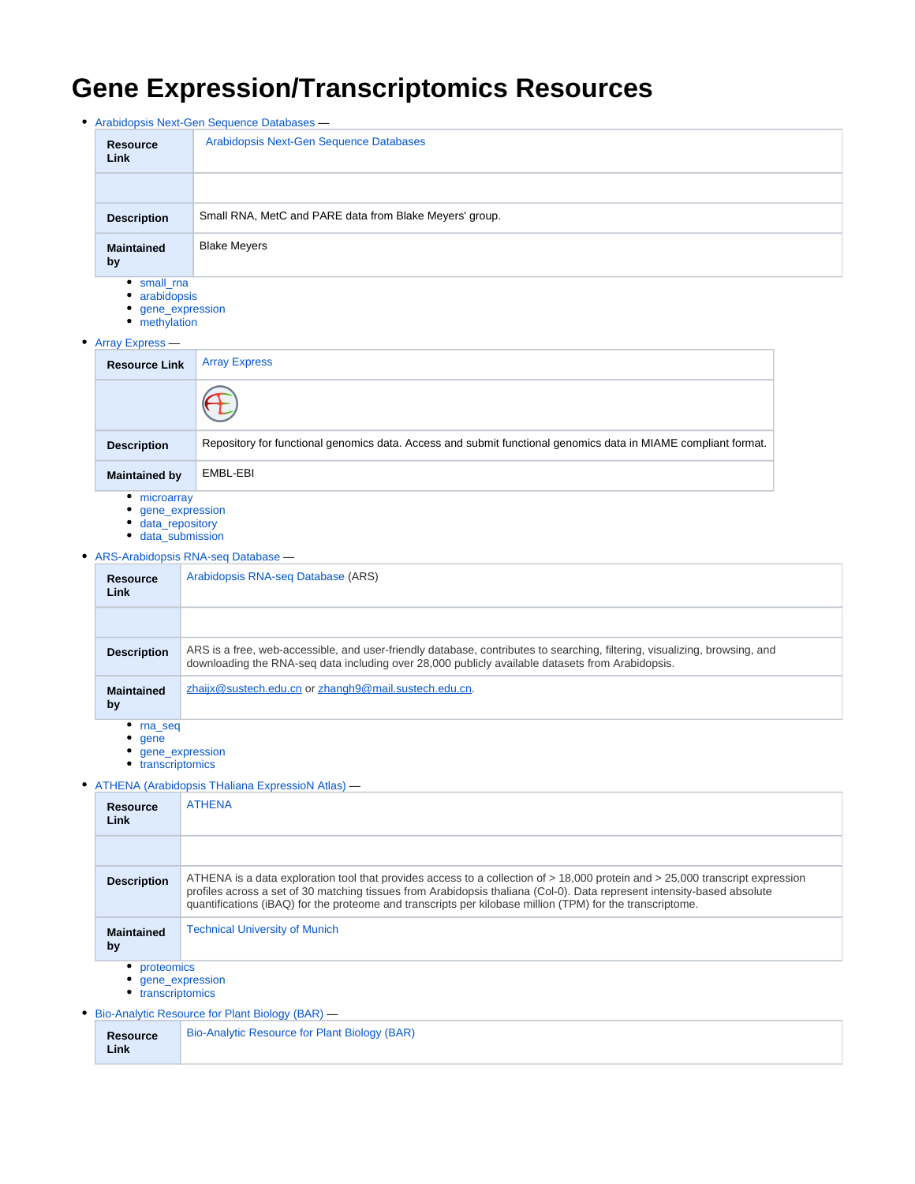# **Gene Expression/Transcriptomics Resources**

| • Arabidopsis Next-Gen Sequence Databases - |                                                                    |                                                         |  |
|---------------------------------------------|--------------------------------------------------------------------|---------------------------------------------------------|--|
|                                             | <b>Resource</b><br>Link                                            | Arabidopsis Next-Gen Sequence Databases                 |  |
|                                             |                                                                    |                                                         |  |
|                                             | <b>Description</b>                                                 | Small RNA, MetC and PARE data from Blake Meyers' group. |  |
|                                             | <b>Maintained</b><br>by                                            | <b>Blake Meyers</b>                                     |  |
|                                             | • small_rna<br>• arabidopsis<br>• gene_expression<br>• methylation |                                                         |  |
|                                             | • Array Express —                                                  |                                                         |  |
|                                             | <b>Resource Link</b>                                               | <b>Array Express</b>                                    |  |
|                                             |                                                                    |                                                         |  |

| <b>Resource Link</b> | <b>Array Express</b>                                                                                           |
|----------------------|----------------------------------------------------------------------------------------------------------------|
|                      |                                                                                                                |
| <b>Description</b>   | Repository for functional genomics data. Access and submit functional genomics data in MIAME compliant format. |
| <b>Maintained by</b> | EMBL-EBI                                                                                                       |
| ٠<br>microarray      |                                                                                                                |

- 
- [gene\\_expression](https://conf.phoenixbioinformatics.org/label/COM/gene_expression)
- [data\\_repository](https://conf.phoenixbioinformatics.org/label/COM/data_repository) [data\\_submission](https://conf.phoenixbioinformatics.org/label/COM/data_submission)
- [ARS-Arabidopsis RNA-seq Database](https://conf.phoenixbioinformatics.org/display/COM/ARS-Arabidopsis+RNA-seq+Database) —

| <b>Resource</b><br>Link | Arabidopsis RNA-seq Database (ARS)                                                                                                                                                                                             |
|-------------------------|--------------------------------------------------------------------------------------------------------------------------------------------------------------------------------------------------------------------------------|
|                         |                                                                                                                                                                                                                                |
| <b>Description</b>      | ARS is a free, web-accessible, and user-friendly database, contributes to searching, filtering, visualizing, browsing, and<br>downloading the RNA-seg data including over 28,000 publicly available datasets from Arabidopsis. |
| <b>Maintained</b><br>by | zhaijx@sustech.edu.cn or zhangh9@mail.sustech.edu.cn.                                                                                                                                                                          |
| <b>EDD</b> COM          |                                                                                                                                                                                                                                |

- [rna\\_seq](https://conf.phoenixbioinformatics.org/label/COM/rna_seq)
- $q$ ene
- [gene\\_expression](https://conf.phoenixbioinformatics.org/label/COM/gene_expression)
- [transcriptomics](https://conf.phoenixbioinformatics.org/label/COM/transcriptomics)

#### [ATHENA \(Arabidopsis THaliana ExpressioN Atlas\)](https://conf.phoenixbioinformatics.org/pages/viewpage.action?pageId=36963254) —

| <b>Resource</b><br>Link                          | <b>ATHENA</b>                                                                                                                                                                                                                                                                                                                                                         |  |  |
|--------------------------------------------------|-----------------------------------------------------------------------------------------------------------------------------------------------------------------------------------------------------------------------------------------------------------------------------------------------------------------------------------------------------------------------|--|--|
|                                                  |                                                                                                                                                                                                                                                                                                                                                                       |  |  |
| <b>Description</b>                               | ATHENA is a data exploration tool that provides access to a collection of > 18,000 protein and > 25,000 transcript expression<br>profiles across a set of 30 matching tissues from Arabidopsis thaliana (Col-0). Data represent intensity-based absolute<br>quantifications (iBAQ) for the proteome and transcripts per kilobase million (TPM) for the transcriptome. |  |  |
| <b>Maintained</b><br>by                          | <b>Technical University of Munich</b>                                                                                                                                                                                                                                                                                                                                 |  |  |
| proteomics<br>gene expression<br>transcriptomics |                                                                                                                                                                                                                                                                                                                                                                       |  |  |
|                                                  | Bio-Analytic Resource for Plant Biology (BAR) —                                                                                                                                                                                                                                                                                                                       |  |  |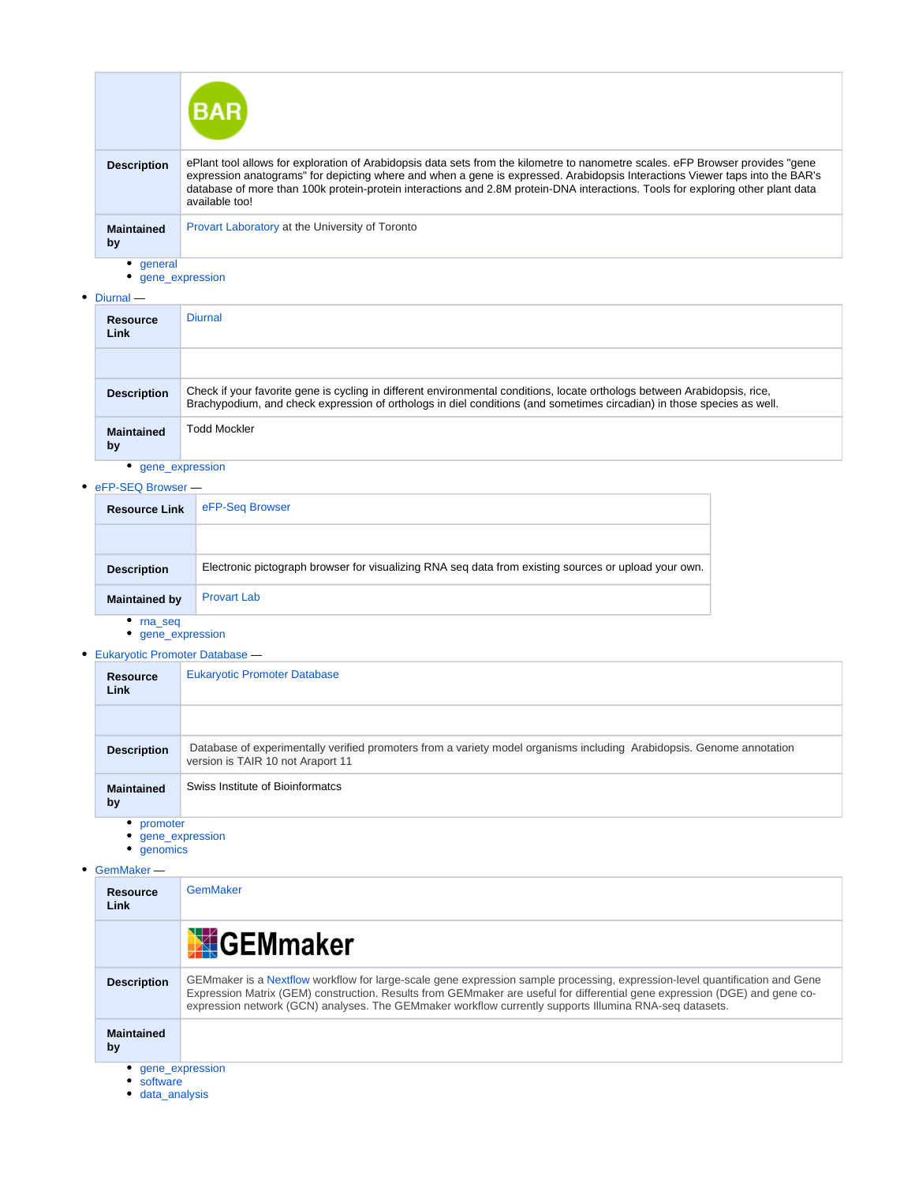|                            | <b>BAR</b>                                                                                                                                                                                                                                                                                                                                                                                                          |
|----------------------------|---------------------------------------------------------------------------------------------------------------------------------------------------------------------------------------------------------------------------------------------------------------------------------------------------------------------------------------------------------------------------------------------------------------------|
| <b>Description</b>         | ePlant tool allows for exploration of Arabidopsis data sets from the kilometre to nanometre scales. eFP Browser provides "gene<br>expression anatograms" for depicting where and when a gene is expressed. Arabidopsis Interactions Viewer taps into the BAR's<br>database of more than 100k protein-protein interactions and 2.8M protein-DNA interactions. Tools for exploring other plant data<br>available too! |
| <b>Maintained</b><br>by    | Provart Laboratory at the University of Toronto                                                                                                                                                                                                                                                                                                                                                                     |
| general<br>gene expression |                                                                                                                                                                                                                                                                                                                                                                                                                     |

[Diurnal](https://conf.phoenixbioinformatics.org/display/COM/Diurnal) —

| -                       |                                                                                                                                                                                                                                                     |  |  |
|-------------------------|-----------------------------------------------------------------------------------------------------------------------------------------------------------------------------------------------------------------------------------------------------|--|--|
| <b>Resource</b><br>Link | <b>Diurnal</b>                                                                                                                                                                                                                                      |  |  |
|                         |                                                                                                                                                                                                                                                     |  |  |
| <b>Description</b>      | Check if your favorite gene is cycling in different environmental conditions, locate orthologs between Arabidopsis, rice,<br>Brachypodium, and check expression of orthologs in diel conditions (and sometimes circadian) in those species as well. |  |  |
| <b>Maintained</b><br>by | <b>Todd Mockler</b>                                                                                                                                                                                                                                 |  |  |
| gene_expression         |                                                                                                                                                                                                                                                     |  |  |

# ● [eFP-SEQ Browser](https://conf.phoenixbioinformatics.org/display/COM/eFP-SEQ+Browser) —

| <b>CLL-OLA DIAMPRI —</b> |                                                                                                      |
|--------------------------|------------------------------------------------------------------------------------------------------|
| <b>Resource Link</b>     | eFP-Seg Browser                                                                                      |
|                          |                                                                                                      |
| <b>Description</b>       | Electronic pictograph browser for visualizing RNA seg data from existing sources or upload your own. |
| <b>Maintained by</b>     | <b>Provart Lab</b>                                                                                   |
| rna seg                  |                                                                                                      |

- [gene\\_expression](https://conf.phoenixbioinformatics.org/label/COM/gene_expression)
- [Eukaryotic Promoter Database](https://conf.phoenixbioinformatics.org/display/COM/Eukaryotic+Promoter+Database) —

| <b>Resource</b><br>Link | <b>Eukaryotic Promoter Database</b>                                                                                                                        |
|-------------------------|------------------------------------------------------------------------------------------------------------------------------------------------------------|
|                         |                                                                                                                                                            |
| <b>Description</b>      | Database of experimentally verified promoters from a variety model organisms including Arabidopsis. Genome annotation<br>version is TAIR 10 not Araport 11 |
| <b>Maintained</b><br>by | Swiss Institute of Bioinformatcs                                                                                                                           |
| promoter                |                                                                                                                                                            |

- [gene\\_expression](https://conf.phoenixbioinformatics.org/label/COM/gene_expression)
- [genomics](https://conf.phoenixbioinformatics.org/label/COM/genomics)

# [GemMaker](https://conf.phoenixbioinformatics.org/display/COM/GemMaker) —

| <b>Resource</b><br>Link     | GemMaker                                                                                                                                                                                                                                                                                                                                                            |
|-----------------------------|---------------------------------------------------------------------------------------------------------------------------------------------------------------------------------------------------------------------------------------------------------------------------------------------------------------------------------------------------------------------|
|                             | <b>X</b> GEMmaker                                                                                                                                                                                                                                                                                                                                                   |
| <b>Description</b>          | GEMmaker is a Nextflow workflow for large-scale gene expression sample processing, expression-level quantification and Gene<br>Expression Matrix (GEM) construction. Results from GEMmaker are useful for differential gene expression (DGE) and gene co-<br>expression network (GCN) analyses. The GEMmaker workflow currently supports Illumina RNA-seq datasets. |
| <b>Maintained</b><br>by     |                                                                                                                                                                                                                                                                                                                                                                     |
| gene expression<br>software |                                                                                                                                                                                                                                                                                                                                                                     |

[data\\_analysis](https://conf.phoenixbioinformatics.org/label/COM/data_analysis)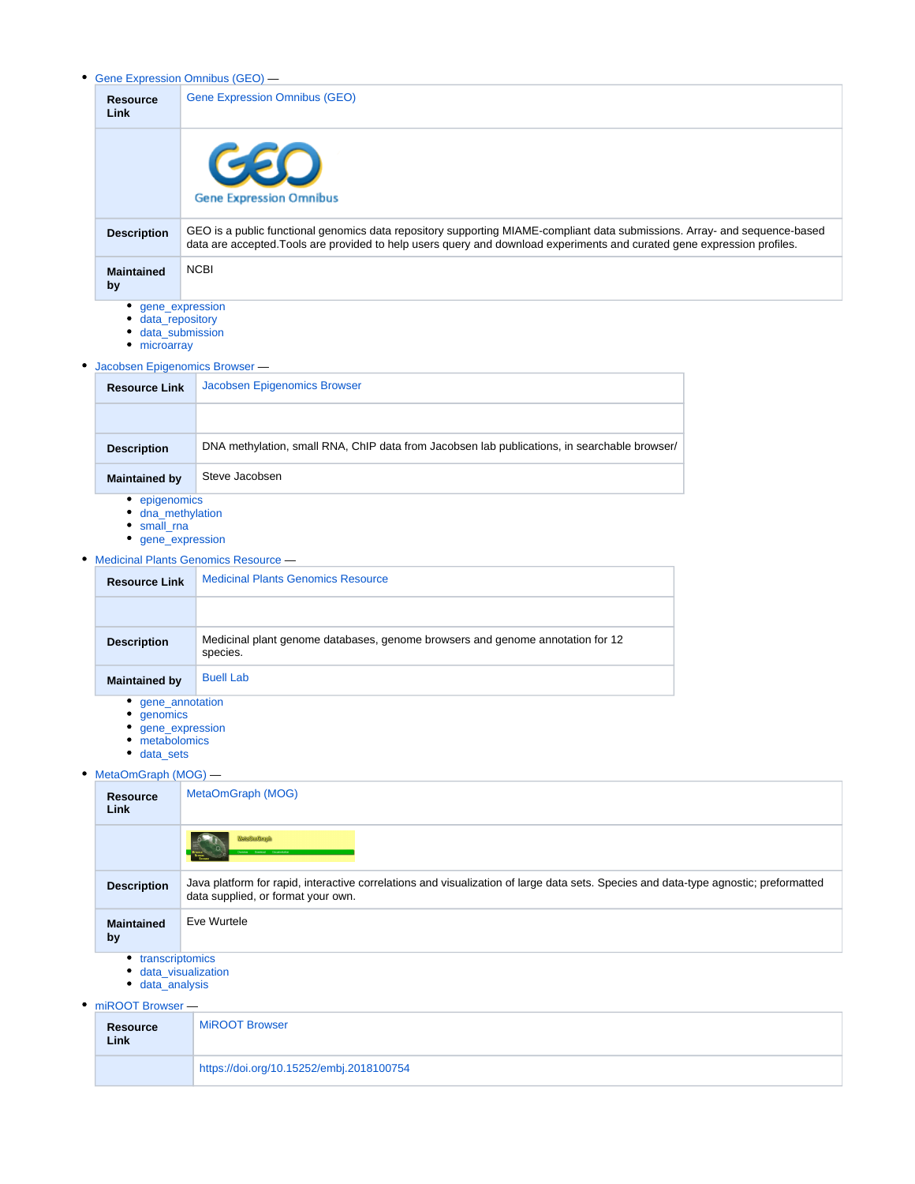[Gene Expression Omnibus \(GEO\)](https://conf.phoenixbioinformatics.org/pages/viewpage.action?pageId=8161943) —

| <b>Resource</b><br><b>Link</b>     | <b>Gene Expression Omnibus (GEO)</b>                                                                                                                                                                                                                   |
|------------------------------------|--------------------------------------------------------------------------------------------------------------------------------------------------------------------------------------------------------------------------------------------------------|
|                                    | GEO<br><b>Gene Expression Omnibus</b>                                                                                                                                                                                                                  |
| <b>Description</b>                 | GEO is a public functional genomics data repository supporting MIAME-compliant data submissions. Array- and sequence-based<br>data are accepted. Tools are provided to help users query and download experiments and curated gene expression profiles. |
| <b>Maintained</b><br>by            | <b>NCBI</b>                                                                                                                                                                                                                                            |
| gene_expression<br>data repository |                                                                                                                                                                                                                                                        |

- [data\\_submission](https://conf.phoenixbioinformatics.org/label/COM/data_submission)
- [microarray](https://conf.phoenixbioinformatics.org/label/COM/microarray)

 $\bullet$ 

| Jacobsen Epigenomics Browser - |                                                                                              |  |
|--------------------------------|----------------------------------------------------------------------------------------------|--|
| <b>Resource Link</b>           | Jacobsen Epigenomics Browser                                                                 |  |
|                                |                                                                                              |  |
| <b>Description</b>             | DNA methylation, small RNA, ChIP data from Jacobsen lab publications, in searchable browser/ |  |
| <b>Maintained by</b>           | Steve Jacobsen                                                                               |  |
| epigenomics                    |                                                                                              |  |

- 
- [dna\\_methylation](https://conf.phoenixbioinformatics.org/label/COM/dna_methylation)
- [small\\_rna](https://conf.phoenixbioinformatics.org/label/COM/small_rna)
- [gene\\_expression](https://conf.phoenixbioinformatics.org/label/COM/gene_expression)

# [Medicinal Plants Genomics Resource](https://conf.phoenixbioinformatics.org/display/COM/Medicinal+Plants+Genomics+Resource) —

| <b>Resource Link</b> | <b>Medicinal Plants Genomics Resource</b>                                                  |
|----------------------|--------------------------------------------------------------------------------------------|
|                      |                                                                                            |
| <b>Description</b>   | Medicinal plant genome databases, genome browsers and genome annotation for 12<br>species. |
| <b>Maintained by</b> | <b>Buell Lab</b><br>$ -$                                                                   |

- [gene\\_annotation](https://conf.phoenixbioinformatics.org/label/COM/gene_annotation) [genomics](https://conf.phoenixbioinformatics.org/label/COM/genomics)
- [gene\\_expression](https://conf.phoenixbioinformatics.org/label/COM/gene_expression)
- [metabolomics](https://conf.phoenixbioinformatics.org/label/COM/metabolomics)
- [data\\_sets](https://conf.phoenixbioinformatics.org/label/COM/data_sets)

### • [MetaOmGraph \(MOG\)](https://conf.phoenixbioinformatics.org/pages/viewpage.action?pageId=8159737) —

| <b>Resource</b><br><b>Link</b>                                   | MetaOmGraph (MOG)                                                                                                                                                          |
|------------------------------------------------------------------|----------------------------------------------------------------------------------------------------------------------------------------------------------------------------|
|                                                                  | <b>Mate Om Graph</b><br>Dieniew Download Decumentation                                                                                                                     |
| <b>Description</b>                                               | Java platform for rapid, interactive correlations and visualization of large data sets. Species and data-type agnostic; preformatted<br>data supplied, or format your own. |
| <b>Maintained</b><br>by                                          | Eve Wurtele                                                                                                                                                                |
| transcriptomics<br>٠<br>data visualization<br>٠<br>data_analysis |                                                                                                                                                                            |

### [miROOT Browser](https://conf.phoenixbioinformatics.org/display/COM/miROOT+Browser) —

| <br><b>Resource</b><br>Link | <b>MiROOT Browser</b>                    |
|-----------------------------|------------------------------------------|
|                             | https://doi.org/10.15252/embj.2018100754 |